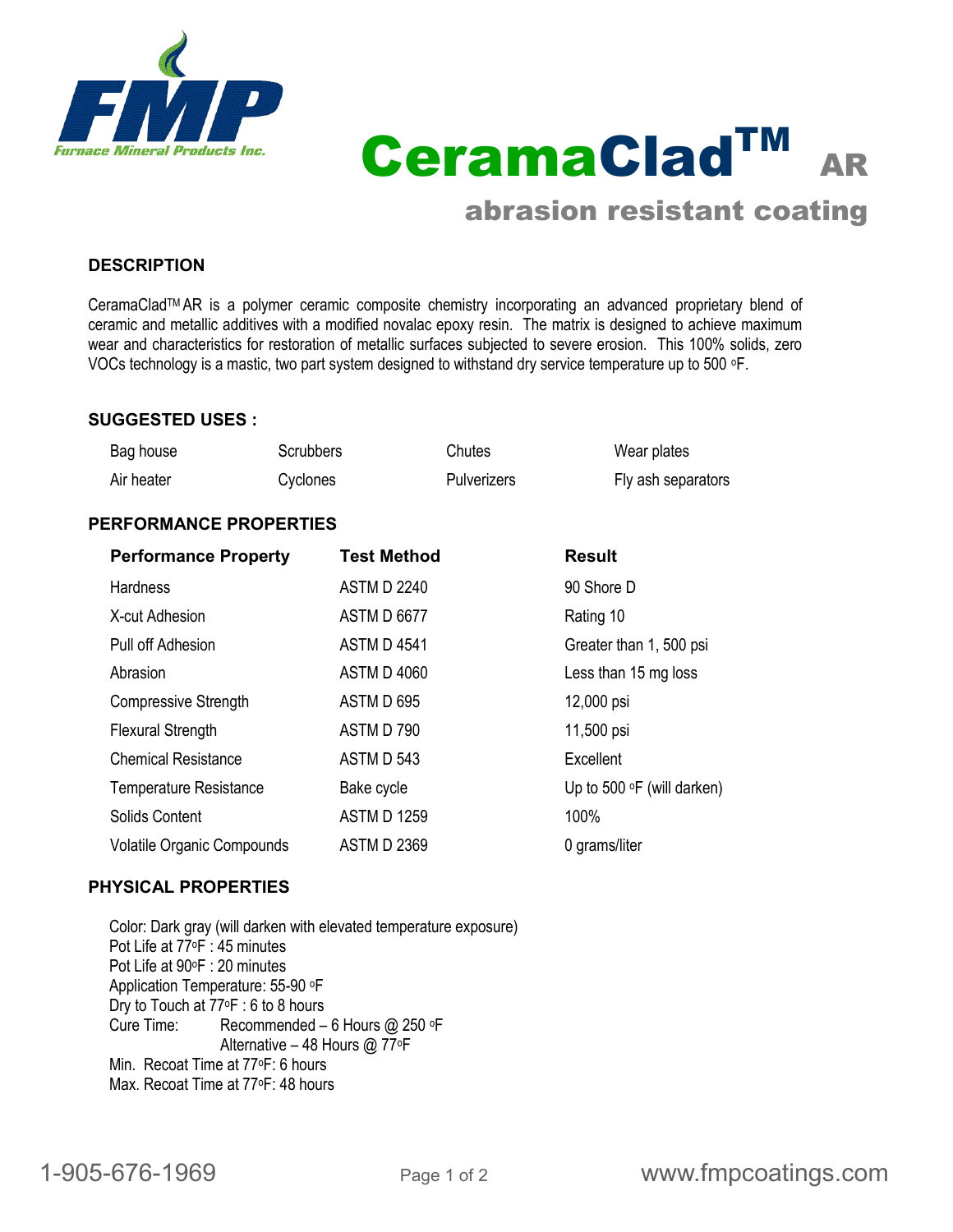

CeramaCladTM AR

# abrasion resistant coating

### **DESCRIPTION**

CeramaCladTM AR is a polymer ceramic composite chemistry incorporating an advanced proprietary blend of ceramic and metallic additives with a modified novalac epoxy resin. The matrix is designed to achieve maximum wear and characteristics for restoration of metallic surfaces subjected to severe erosion. This 100% solids, zero VOCs technology is a mastic, two part system designed to withstand dry service temperature up to 500 oF.

#### **SUGGESTED USES :**

| <b>Performance Property</b>   |                  | <b>Test Method</b> |                    | <b>Result</b> |                    |  |  |  |  |
|-------------------------------|------------------|--------------------|--------------------|---------------|--------------------|--|--|--|--|
| <b>PERFORMANCE PROPERTIES</b> |                  |                    |                    |               |                    |  |  |  |  |
| Air heater                    | Cyclones         |                    | <b>Pulverizers</b> |               | Fly ash separators |  |  |  |  |
| Bag house                     | <b>Scrubbers</b> |                    | Chutes             |               | Wear plates        |  |  |  |  |

|                                   | ו טטווויטנווט      | .                                 |
|-----------------------------------|--------------------|-----------------------------------|
| <b>Hardness</b>                   | <b>ASTM D 2240</b> | 90 Shore D                        |
| X-cut Adhesion                    | <b>ASTM D 6677</b> | Rating 10                         |
| Pull off Adhesion                 | <b>ASTM D 4541</b> | Greater than 1, 500 psi           |
| Abrasion                          | <b>ASTM D 4060</b> | Less than 15 mg loss              |
| <b>Compressive Strength</b>       | ASTM D 695         | 12,000 psi                        |
| <b>Flexural Strength</b>          | ASTM D 790         | 11,500 psi                        |
| <b>Chemical Resistance</b>        | ASTM D 543         | Excellent                         |
| <b>Temperature Resistance</b>     | Bake cycle         | Up to 500 $\circ$ F (will darken) |
| Solids Content                    | <b>ASTM D 1259</b> | 100%                              |
| <b>Volatile Organic Compounds</b> | <b>ASTM D 2369</b> | 0 grams/liter                     |

#### **PHYSICAL PROPERTIES**

Color: Dark gray (will darken with elevated temperature exposure) Pot Life at 77oF : 45 minutes Pot Life at 90°F : 20 minutes Application Temperature: 55-90 oF Dry to Touch at 77oF : 6 to 8 hours Cure Time: Recommended – 6 Hours @ 250 oF Alternative – 48 Hours @ 77oF Min. Recoat Time at 77oF: 6 hours Max. Recoat Time at 77oF: 48 hours